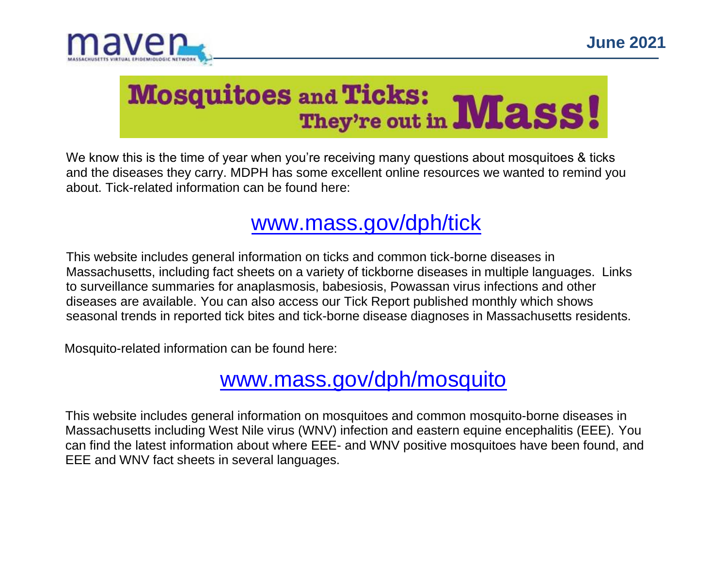

# Mosquitoes and Ticks: Mass!

We know this is the time of year when you're receiving many questions about mosquitoes & ticks and the diseases they carry. MDPH has some excellent online resources we wanted to remind you about. Tick-related information can be found here:

## [www.mass.gov/dph/tick](http://www.mass.gov/dph/tick)

This website includes general information on ticks and common tick-borne diseases in Massachusetts, including fact sheets on a variety of tickborne diseases in multiple languages. Links to surveillance summaries for anaplasmosis, babesiosis, Powassan virus infections and other diseases are available. You can also access our Tick Report published monthly which shows seasonal trends in reported tick bites and tick-borne disease diagnoses in Massachusetts residents.

Mosquito-related information can be found here:

## [www.mass.gov/dph/mosquito](http://www.mass.gov/dph/mosquito)

This website includes general information on mosquitoes and common mosquito-borne diseases in Massachusetts including West Nile virus (WNV) infection and eastern equine encephalitis (EEE). You can find the latest information about where EEE- and WNV positive mosquitoes have been found, and EEE and WNV fact sheets in several languages.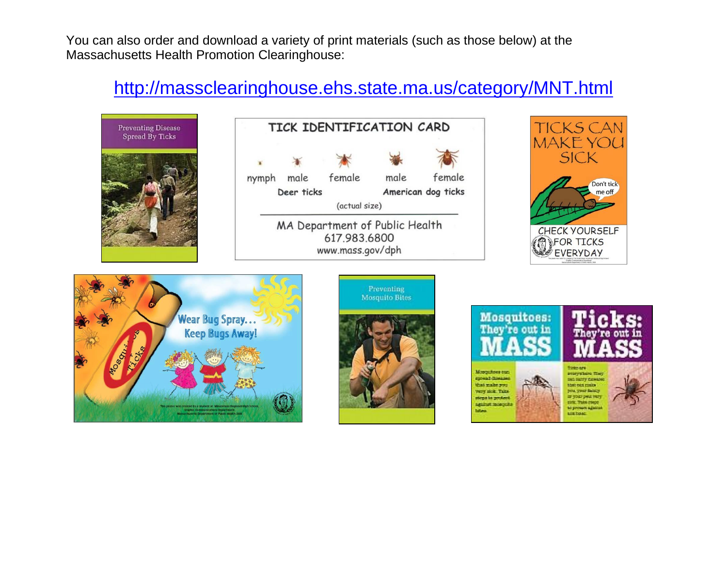You can also order and download a variety of print materials (such as those below) at the Massachusetts Health Promotion Clearinghouse:

#### <http://massclearinghouse.ehs.state.ma.us/category/MNT.html>

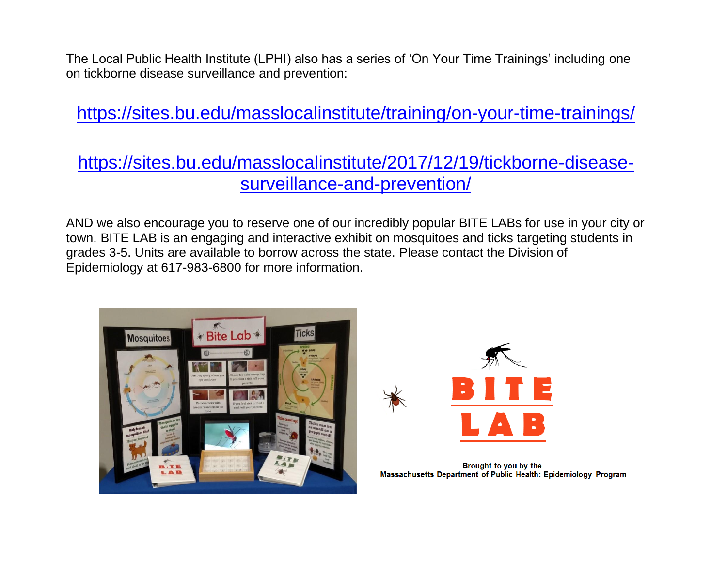The Local Public Health Institute (LPHI) also has a series of 'On Your Time Trainings' including one on tickborne disease surveillance and prevention:

<https://sites.bu.edu/masslocalinstitute/training/on-your-time-trainings/>

#### [https://sites.bu.edu/masslocalinstitute/2017/12/19/tickborne-disease](https://sites.bu.edu/masslocalinstitute/2017/12/19/tickborne-disease-surveillance-and-prevention/)[surveillance-and-prevention/](https://sites.bu.edu/masslocalinstitute/2017/12/19/tickborne-disease-surveillance-and-prevention/)

AND we also encourage you to reserve one of our incredibly popular BITE LABs for use in your city or town. BITE LAB is an engaging and interactive exhibit on mosquitoes and ticks targeting students in grades 3-5. Units are available to borrow across the state. Please contact the Division of Epidemiology at 617-983-6800 for more information.





Brought to you by the Massachusetts Department of Public Health: Epidemiology Program